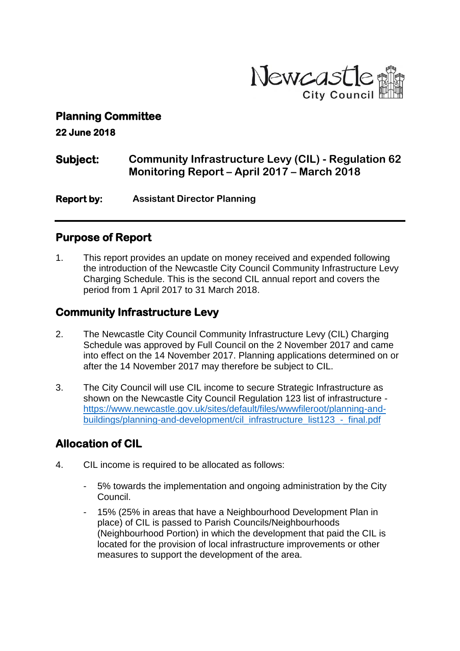

#### **Planning Committee**

**22 June 2018** 

## **Subject: Community Infrastructure Levy (CIL) - Regulation 62 Monitoring Report – April 2017 – March 2018**

**Report by: Assistant Director Planning** 

#### **Purpose of Report**

1. This report provides an update on money received and expended following the introduction of the Newcastle City Council Community Infrastructure Levy Charging Schedule. This is the second CIL annual report and covers the period from 1 April 2017 to 31 March 2018.

#### **Community Infrastructure Levy**

- 2. The Newcastle City Council Community Infrastructure Levy (CIL) Charging Schedule was approved by Full Council on the 2 November 2017 and came into effect on the 14 November 2017. Planning applications determined on or after the 14 November 2017 may therefore be subject to CIL.
- 3. The City Council will use CIL income to secure Strategic Infrastructure as shown on the Newcastle City Council Regulation 123 list of infrastructure [https://www.newcastle.gov.uk/sites/default/files/wwwfileroot/planning-and](https://www.newcastle.gov.uk/sites/default/files/wwwfileroot/planning-and-buildings/planning-and-development/cil_infrastructure_list123_-_final.pdf)[buildings/planning-and-development/cil\\_infrastructure\\_list123\\_-\\_final.pdf](https://www.newcastle.gov.uk/sites/default/files/wwwfileroot/planning-and-buildings/planning-and-development/cil_infrastructure_list123_-_final.pdf)

## **Allocation of CIL**

- 4. CIL income is required to be allocated as follows:
	- 5% towards the implementation and ongoing administration by the City Council.
	- 15% (25% in areas that have a Neighbourhood Development Plan in place) of CIL is passed to Parish Councils/Neighbourhoods (Neighbourhood Portion) in which the development that paid the CIL is located for the provision of local infrastructure improvements or other measures to support the development of the area.